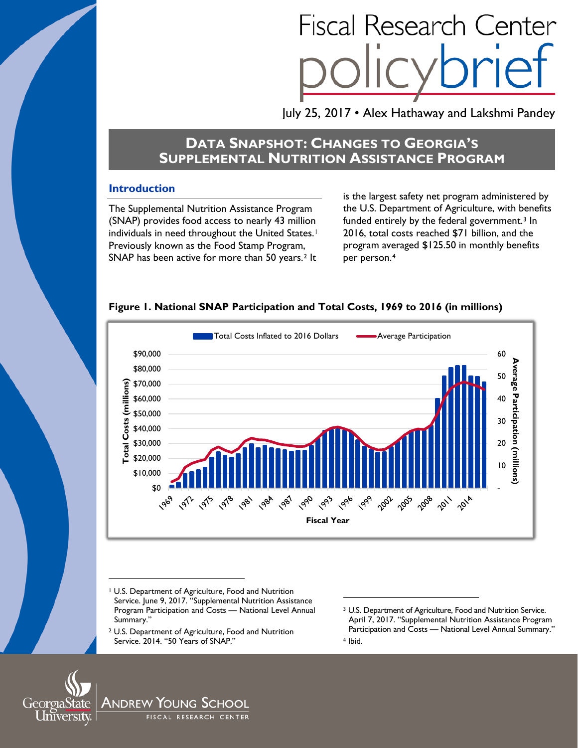# **Fiscal Research Center**

July 25, 2017 • Alex Hathaway and Lakshmi Pandey

# **DATA SNAPSHOT: CHANGES TO GEORGIA'S SUPPLEMENTAL NUTRITION ASSISTANCE PROGRAM**

# **Introduction**

The Supplemental Nutrition Assistance Program (SNAP) provides food access to nearly 43 million individuals in need throughout the United States.<sup>1</sup> Previously known as the Food Stamp Program, SNAP has been active for more than 50 years.<sup>[2](#page-0-1)</sup> It

is the largest safety net program administered by the U.S. Department of Agriculture, with benefits funded entirely by the federal government[.3](#page-0-2) In 2016, total costs reached \$71 billion, and the program averaged \$125.50 in monthly benefits per person.[4](#page-0-3)





 $\overline{a}$ 

<sup>1</sup> U.S. Department of Agriculture, Food and Nutrition Service. June 9, 2017. "Supplemental Nutrition Assistance Program Participation and Costs — National Level Annual Summary."

<sup>2</sup> U.S. Department of Agriculture, Food and Nutrition Service. 2014. "50 Years of SNAP."

<sup>3</sup> U.S. Department of Agriculture, Food and Nutrition Service. April 7, 2017. "Supplemental Nutrition Assistance Program Participation and Costs — National Level Annual Summary." <sup>4</sup> Ibid.

<span id="page-0-3"></span><span id="page-0-2"></span><span id="page-0-1"></span><span id="page-0-0"></span>

 $\ddot{\phantom{a}}$ 

Andrew Young School FISCAL RESEARCH CENTER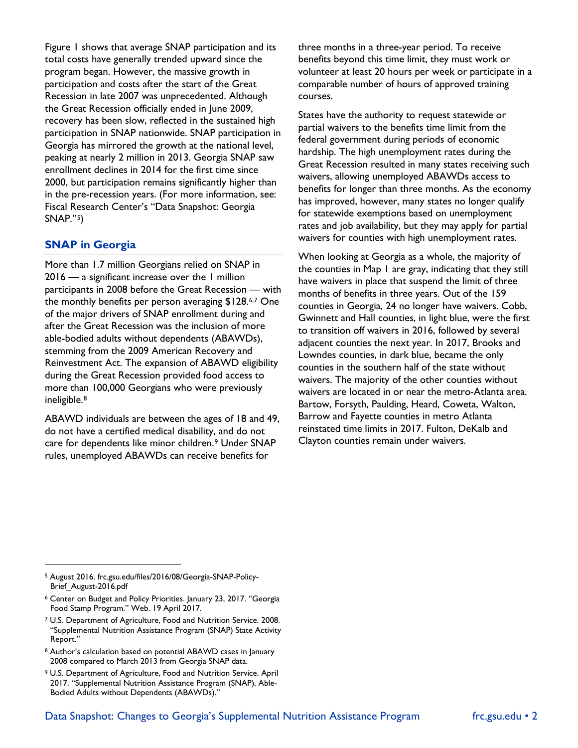Figure 1 shows that average SNAP participation and its total costs have generally trended upward since the program began. However, the massive growth in participation and costs after the start of the Great Recession in late 2007 was unprecedented. Although the Great Recession officially ended in June 2009, recovery has been slow, reflected in the sustained high participation in SNAP nationwide. SNAP participation in Georgia has mirrored the growth at the national level, peaking at nearly 2 million in 2013. Georgia SNAP saw enrollment declines in 2014 for the first time since 2000, but participation remains significantly higher than in the pre-recession years. (For more information, see: Fiscal Research Center's "Data Snapshot: Georgia SNAP."[5](#page-1-0))

# **SNAP in Georgia**

 $\ddot{\phantom{a}}$ 

More than 1.7 million Georgians relied on SNAP in 2016 — a significant increase over the 1 million participants in 2008 before the Great Recession — with the monthly benefits per person averaging \$128.[6](#page-1-1),[7](#page-1-2) One of the major drivers of SNAP enrollment during and after the Great Recession was the inclusion of more able-bodied adults without dependents (ABAWDs), stemming from the 2009 American Recovery and Reinvestment Act. The expansion of ABAWD eligibility during the Great Recession provided food access to more than 100,000 Georgians who were previously ineligible.[8](#page-1-3)

ABAWD individuals are between the ages of 18 and 49, do not have a certified medical disability, and do not care for dependents like minor children.[9](#page-1-4) Under SNAP rules, unemployed ABAWDs can receive benefits for

three months in a three-year period. To receive benefits beyond this time limit, they must work or volunteer at least 20 hours per week or participate in a comparable number of hours of approved training courses.

States have the authority to request statewide or partial waivers to the benefits time limit from the federal government during periods of economic hardship. The high unemployment rates during the Great Recession resulted in many states receiving such waivers, allowing unemployed ABAWDs access to benefits for longer than three months. As the economy has improved, however, many states no longer qualify for statewide exemptions based on unemployment rates and job availability, but they may apply for partial waivers for counties with high unemployment rates.

When looking at Georgia as a whole, the majority of the counties in Map 1 are gray, indicating that they still have waivers in place that suspend the limit of three months of benefits in three years. Out of the 159 counties in Georgia, 24 no longer have waivers. Cobb, Gwinnett and Hall counties, in light blue, were the first to transition off waivers in 2016, followed by several adjacent counties the next year. In 2017, Brooks and Lowndes counties, in dark blue, became the only counties in the southern half of the state without waivers. The majority of the other counties without waivers are located in or near the metro-Atlanta area. Bartow, Forsyth, Paulding, Heard, Coweta, Walton, Barrow and Fayette counties in metro Atlanta reinstated time limits in 2017. Fulton, DeKalb and Clayton counties remain under waivers.

<span id="page-1-3"></span><sup>8</sup> Author's calculation based on potential ABAWD cases in January 2008 compared to March 2013 from Georgia SNAP data.

<span id="page-1-0"></span><sup>5</sup> August 2016. frc.gsu.edu/files/2016/08/Georgia-SNAP-Policy-Brief\_August-2016.pdf

<span id="page-1-1"></span><sup>6</sup> Center on Budget and Policy Priorities. January 23, 2017. "Georgia Food Stamp Program." Web. 19 April 2017.

<span id="page-1-2"></span><sup>7</sup> U.S. Department of Agriculture, Food and Nutrition Service. 2008. "Supplemental Nutrition Assistance Program (SNAP) State Activity Report."

<span id="page-1-4"></span><sup>9</sup> U.S. Department of Agriculture, Food and Nutrition Service. April 2017. "Supplemental Nutrition Assistance Program (SNAP), Able-Bodied Adults without Dependents (ABAWDs)."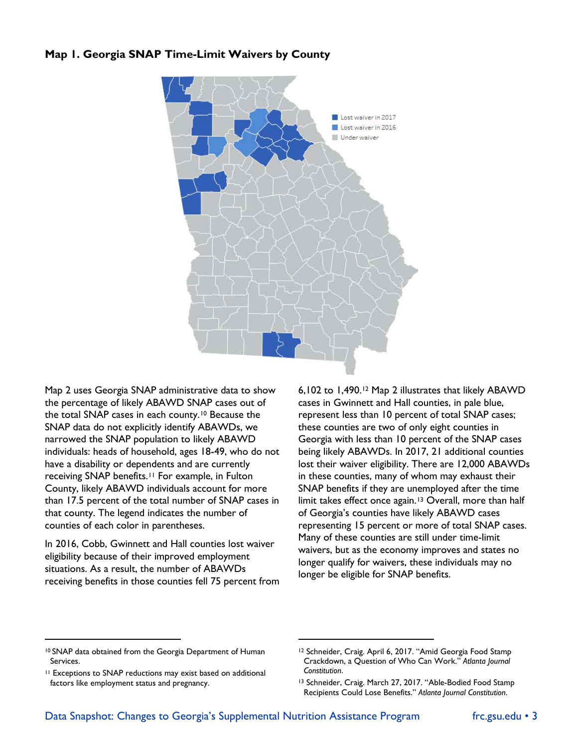### **Map 1. Georgia SNAP Time-Limit Waivers by County**



Map 2 uses Georgia SNAP administrative data to show the percentage of likely ABAWD SNAP cases out of the total SNAP cases in each county.[10](#page-2-0) Because the SNAP data do not explicitly identify ABAWDs, we narrowed the SNAP population to likely ABAWD individuals: heads of household, ages 18-49, who do not have a disability or dependents and are currently receiving SNAP benefits.[11](#page-2-1) For example, in Fulton County, likely ABAWD individuals account for more than 17.5 percent of the total number of SNAP cases in that county. The legend indicates the number of counties of each color in parentheses.

In 2016, Cobb, Gwinnett and Hall counties lost waiver eligibility because of their improved employment situations. As a result, the number of ABAWDs receiving benefits in those counties fell 75 percent from 6,102 to 1,490.[12](#page-2-0) Map 2 illustrates that likely ABAWD cases in Gwinnett and Hall counties, in pale blue, represent less than 10 percent of total SNAP cases; these counties are two of only eight counties in Georgia with less than 10 percent of the SNAP cases being likely ABAWDs. In 2017, 21 additional counties lost their waiver eligibility. There are 12,000 ABAWDs in these counties, many of whom may exhaust their SNAP benefits if they are unemployed after the time limit takes effect once again.<sup>[13](#page-2-2)</sup> Overall, more than half of Georgia's counties have likely ABAWD cases representing 15 percent or more of total SNAP cases. Many of these counties are still under time-limit waivers, but as the economy improves and states no longer qualify for waivers, these individuals may no longer be eligible for SNAP benefits.

 $\overline{a}$ 

-

<span id="page-2-0"></span><sup>10</sup> SNAP data obtained from the Georgia Department of Human Services.

<span id="page-2-2"></span><span id="page-2-1"></span><sup>11</sup> Exceptions to SNAP reductions may exist based on additional factors like employment status and pregnancy.

<sup>&</sup>lt;sup>12</sup> Schneider, Craig. April 6, 2017. "Amid Georgia Food Stamp Crackdown, a Question of Who Can Work." *Atlanta Journal Constitution*.

<sup>13</sup> Schneider, Craig. March 27, 2017. "Able-Bodied Food Stamp Recipients Could Lose Benefits." *Atlanta Journal Constitution*.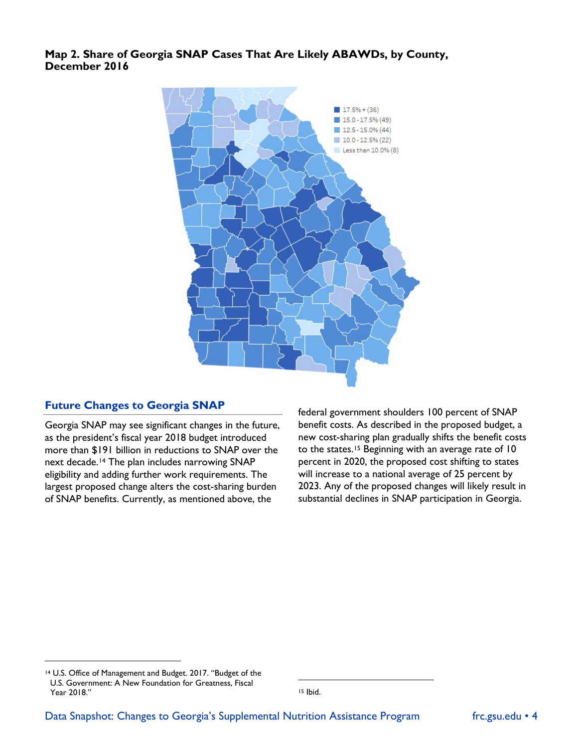**Map 2. Share of Georgia SNAP Cases That Are Likely ABAWDs, by County, December 2016**



#### **Future Changes to Georgia SNAP**

Georgia SNAP may see significant changes in the future, as the president's fiscal year 2018 budget introduced more than \$191 billion in reductions to SNAP over the next decade.<sup>[14](#page-3-0)</sup> The plan includes narrowing SNAP eligibility and adding further work requirements. The largest proposed change alters the cost-sharing burden of SNAP benefits. Currently, as mentioned above, the

federal government shoulders 100 percent of SNAP benefit costs. As described in the proposed budget, a new cost-sharing plan gradually shifts the benefit costs to the states.[15](#page-3-1) Beginning with an average rate of 10 percent in 2020, the proposed cost shifting to states will increase to a national average of 25 percent by 2023. Any of the proposed changes will likely result in substantial declines in SNAP participation in Georgia.

 $\ddot{\phantom{a}}$ 

<sup>15</sup> Ibid.

-

<span id="page-3-1"></span><span id="page-3-0"></span><sup>14</sup> U.S. Office of Management and Budget. 2017. "Budget of the U.S. Government: A New Foundation for Greatness, Fiscal Year 2018."